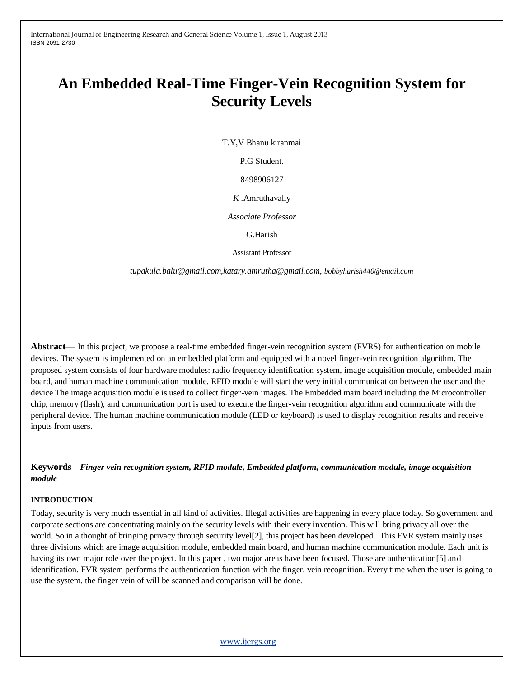# **An Embedded Real-Time Finger-Vein Recognition System for Security Levels**

T.Y,V Bhanu kiranmai

P.G Student.

8498906127

*K .*Amruthavally

*Associate Professor*

G.Harish

Assistant Professor

 *tupakula.balu@gmail.com,katary.amrutha@gmail.com, bobbyharish440@email.com*

**Abstract**— In this project, we propose a real-time embedded finger-vein recognition system (FVRS) for authentication on mobile devices. The system is implemented on an embedded platform and equipped with a novel finger-vein recognition algorithm. The proposed system consists of four hardware modules: radio frequency identification system, image acquisition module, embedded main board, and human machine communication module. RFID module will start the very initial communication between the user and the device The image acquisition module is used to collect finger-vein images. The Embedded main board including the Microcontroller chip, memory (flash), and communication port is used to execute the finger-vein recognition algorithm and communicate with the peripheral device. The human machine communication module (LED or keyboard) is used to display recognition results and receive inputs from users.

**Keywords**— *Finger vein recognition system, RFID module, Embedded platform, communication module, image acquisition module*

## **INTRODUCTION**

Today, security is very much essential in all kind of activities. Illegal activities are happening in every place today. So government and corporate sections are concentrating mainly on the security levels with their every invention. This will bring privacy all over the world. So in a thought of bringing privacy through security level[2], this project has been developed. This FVR system mainly uses three divisions which are image acquisition module, embedded main board, and human machine communication module. Each unit is having its own major role over the project. In this paper , two major areas have been focused. Those are authentication[5] and identification. FVR system performs the authentication function with the finger. vein recognition. Every time when the user is going to use the system, the finger vein of will be scanned and comparison will be done.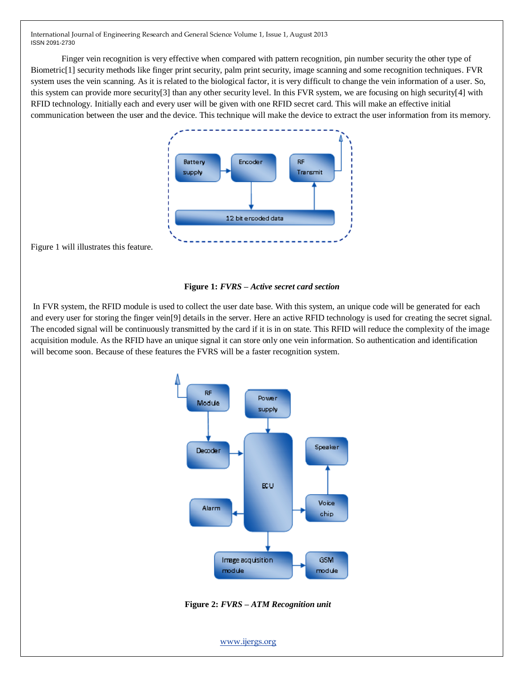Finger vein recognition is very effective when compared with pattern recognition, pin number security the other type of Biometric[1] security methods like finger print security, palm print security, image scanning and some recognition techniques. FVR system uses the vein scanning. As it is related to the biological factor, it is very difficult to change the vein information of a user. So, this system can provide more security[3] than any other security level. In this FVR system, we are focusing on high security[4] with RFID technology. Initially each and every user will be given with one RFID secret card. This will make an effective initial communication between the user and the device. This technique will make the device to extract the user information from its memory.



Figure 1 will illustrates this feature.



In FVR system, the RFID module is used to collect the user date base. With this system, an unique code will be generated for each and every user for storing the finger vein[9] details in the server. Here an active RFID technology is used for creating the secret signal. The encoded signal will be continuously transmitted by the card if it is in on state. This RFID will reduce the complexity of the image acquisition module. As the RFID have an unique signal it can store only one vein information. So authentication and identification will become soon. Because of these features the FVRS will be a faster recognition system.



**Figure 2:** *FVRS – ATM Recognition unit*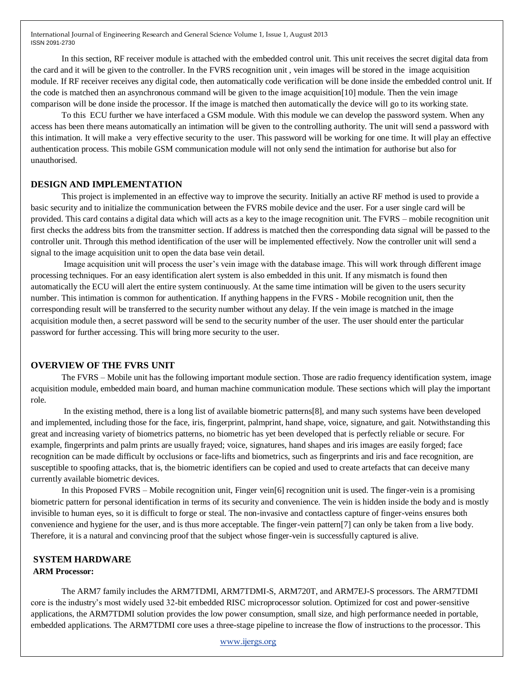In this section, RF receiver module is attached with the embedded control unit. This unit receives the secret digital data from the card and it will be given to the controller. In the FVRS recognition unit , vein images will be stored in the image acquisition module. If RF receiver receives any digital code, then automatically code verification will be done inside the embedded control unit. If the code is matched then an asynchronous command will be given to the image acquisition[10] module. Then the vein image comparison will be done inside the processor. If the image is matched then automatically the device will go to its working state.

To this ECU further we have interfaced a GSM module. With this module we can develop the password system. When any access has been there means automatically an intimation will be given to the controlling authority. The unit will send a password with this intimation. It will make a very effective security to the user. This password will be working for one time. It will play an effective authentication process. This mobile GSM communication module will not only send the intimation for authorise but also for unauthorised.

#### **DESIGN AND IMPLEMENTATION**

This project is implemented in an effective way to improve the security. Initially an active RF method is used to provide a basic security and to initialize the communication between the FVRS mobile device and the user. For a user single card will be provided. This card contains a digital data which will acts as a key to the image recognition unit. The FVRS – mobile recognition unit first checks the address bits from the transmitter section. If address is matched then the corresponding data signal will be passed to the controller unit. Through this method identification of the user will be implemented effectively. Now the controller unit will send a signal to the image acquisition unit to open the data base vein detail.

Image acquisition unit will process the user's vein image with the database image. This will work through different image processing techniques. For an easy identification alert system is also embedded in this unit. If any mismatch is found then automatically the ECU will alert the entire system continuously. At the same time intimation will be given to the users security number. This intimation is common for authentication. If anything happens in the FVRS - Mobile recognition unit, then the corresponding result will be transferred to the security number without any delay. If the vein image is matched in the image acquisition module then, a secret password will be send to the security number of the user. The user should enter the particular password for further accessing. This will bring more security to the user.

#### **OVERVIEW OF THE FVRS UNIT**

The FVRS – Mobile unit has the following important module section. Those are radio frequency identification system, image acquisition module, embedded main board, and human machine communication module. These sections which will play the important role.

In the existing method, there is a long list of available biometric patterns[8], and many such systems have been developed and implemented, including those for the face, iris, fingerprint, palmprint, hand shape, voice, signature, and gait. Notwithstanding this great and increasing variety of biometrics patterns, no biometric has yet been developed that is perfectly reliable or secure. For example, fingerprints and palm prints are usually frayed; voice, signatures, hand shapes and iris images are easily forged; face recognition can be made difficult by occlusions or face-lifts and biometrics, such as fingerprints and iris and face recognition, are susceptible to spoofing attacks, that is, the biometric identifiers can be copied and used to create artefacts that can deceive many currently available biometric devices.

In this Proposed FVRS – Mobile recognition unit, Finger vein[6] recognition unit is used. The finger-vein is a promising biometric pattern for personal identification in terms of its security and convenience. The vein is hidden inside the body and is mostly invisible to human eyes, so it is difficult to forge or steal. The non-invasive and contactless capture of finger-veins ensures both convenience and hygiene for the user, and is thus more acceptable. The finger-vein pattern[7] can only be taken from a live body. Therefore, it is a natural and convincing proof that the subject whose finger-vein is successfully captured is alive.

## **SYSTEM HARDWARE**

## **ARM Processor:**

The ARM7 family includes the ARM7TDMI, ARM7TDMI-S, ARM720T, and ARM7EJ-S processors. The ARM7TDMI core is the industry's most widely used 32-bit embedded RISC microprocessor solution. Optimized for cost and power-sensitive applications, the ARM7TDMI solution provides the low power consumption, small size, and high performance needed in portable, embedded applications. The ARM7TDMI core uses a three-stage pipeline to increase the flow of instructions to the processor. This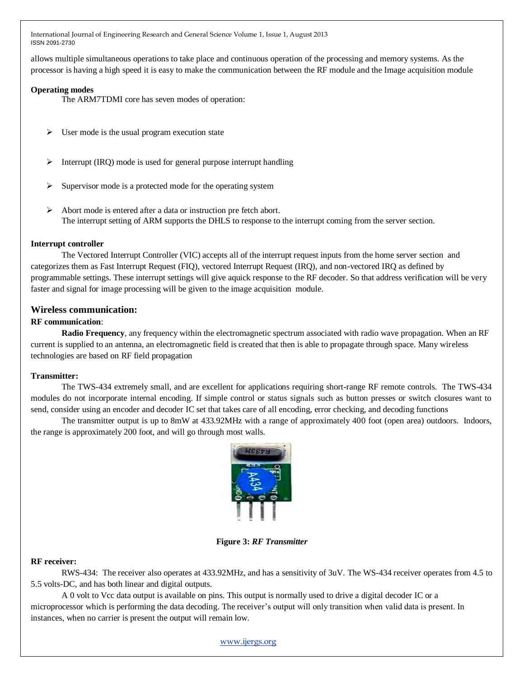allows multiple simultaneous operations to take place and continuous operation of the processing and memory systems. As the processor is having a high speed it is easy to make the communication between the RF module and the Image acquisition module

## **Operating modes**

The ARM7TDMI core has seven modes of operation:

- $\triangleright$  User mode is the usual program execution state
- $\triangleright$  Interrupt (IRQ) mode is used for general purpose interrupt handling
- Supervisor mode is a protected mode for the operating system
- Abort mode is entered after a data or instruction pre fetch abort. The interrupt setting of ARM supports the DHLS to response to the interrupt coming from the server section.

#### **Interrupt controller**

The Vectored Interrupt Controller (VIC) accepts all of the interrupt request inputs from the home server section and categorizes them as Fast Interrupt Request (FIQ), vectored Interrupt Request (IRQ), and non-vectored IRQ as defined by programmable settings. These interrupt settings will give aquick response to the RF decoder. So that address verification will be very faster and signal for image processing will be given to the image acquisition module.

## **Wireless communication:**

## **RF communication**:

**Radio Frequency**, any frequency within the electromagnetic spectrum associated with radio wave propagation. When an RF current is supplied to an antenna, an electromagnetic field is created that then is able to propagate through space. Many wireless technologies are based on RF field propagation

## **Transmitter:**

The TWS-434 extremely small, and are excellent for applications requiring short-range RF remote controls. The TWS-434 modules do not incorporate internal encoding. If simple control or status signals such as button presses or switch closures want to send, consider using an encoder and decoder IC set that takes care of all encoding, error checking, and decoding functions

The transmitter output is up to 8mW at 433.92MHz with a range of approximately 400 foot (open area) outdoors. Indoors, the range is approximately 200 foot, and will go through most walls.



**Figure 3:** *RF Transmitter*

## **RF receiver:**

RWS-434: The receiver also operates at 433.92MHz, and has a sensitivity of 3uV. The WS-434 receiver operates from 4.5 to 5.5 volts-DC, and has both linear and digital outputs.

A 0 volt to Vcc data output is available on pins. This output is normally used to drive a digital decoder IC or a microprocessor which is performing the data decoding. The receiver's output will only transition when valid data is present. In instances, when no carrier is present the output will remain low.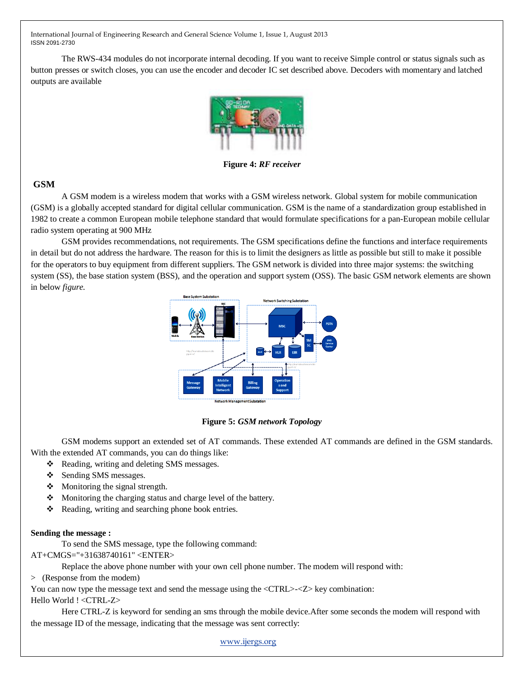The RWS-434 modules do not incorporate internal decoding. If you want to receive Simple control or status signals such as button presses or switch closes, you can use the encoder and decoder IC set described above. Decoders with momentary and latched outputs are available



**Figure 4:** *RF receiver*

## **GSM**

A GSM modem is a wireless modem that works with a GSM wireless network. Global system for mobile communication (GSM) is a globally accepted standard for digital cellular communication. GSM is the name of a standardization group established in 1982 to create a common European mobile telephone standard that would formulate specifications for a pan-European mobile cellular radio system operating at 900 MHz

GSM provides recommendations, not requirements. The GSM specifications define the functions and interface requirements in detail but do not address the hardware. The reason for this is to limit the designers as little as possible but still to make it possible for the operators to buy equipment from different suppliers. The GSM network is divided into three major systems: the switching system (SS), the base station system (BSS), and the operation and support system (OSS). The basic GSM network elements are shown in below *figure.*



**Figure 5:** *GSM network Topology*

GSM modems support an extended set of AT commands. These extended AT commands are defined in the GSM standards. With the extended AT commands, you can do things like:

- \* Reading, writing and deleting SMS messages.
- Sending SMS messages.
- $\triangleleft$  Monitoring the signal strength.
- Monitoring the charging status and charge level of the battery.
- $\triangle$  Reading, writing and searching phone book entries.

## **Sending the message :**

To send the SMS message, type the following command:

AT+CMGS="+31638740161" <ENTER>

Replace the above phone number with your own cell phone number. The modem will respond with:

> (Response from the modem)

You can now type the message text and send the message using the  $\langle \text{CTR} \rangle \langle \langle \text{Z} \rangle \rangle$  key combination: Hello World ! <CTRL-Z>

Here CTRL-Z is keyword for sending an sms through the mobile device.After some seconds the modem will respond with the message ID of the message, indicating that the message was sent correctly: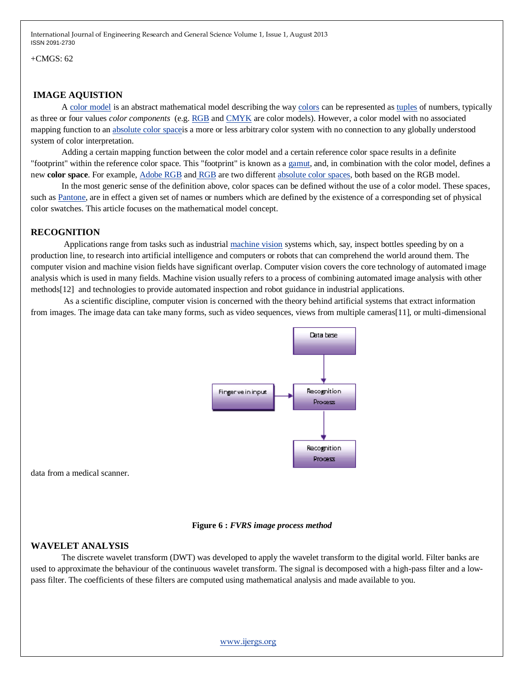$+CMGS$ : 62

## **IMAGE AQUISTION**

A [color model](http://en.wikipedia.org/wiki/Color_model) is an abstract mathematical model describing the way [colors](http://en.wikipedia.org/wiki/Color) can be represented as [tuples](http://en.wikipedia.org/wiki/Tuple) of numbers, typically as three or four values *color components* (e.g. [RGB](http://en.wikipedia.org/wiki/RGB_color_model) and [CMYK](http://en.wikipedia.org/wiki/CMYK_color_model) are color models). However, a color model with no associated mapping function to an [absolute color spacei](http://en.wikipedia.org/wiki/Absolute_color_space)s a more or less arbitrary color system with no connection to any globally understood system of color interpretation.

Adding a certain mapping function between the color model and a certain reference color space results in a definite "footprint" within the reference color space. This "footprint" is known as a [gamut,](http://en.wikipedia.org/wiki/Gamut) and, in combination with the color model, defines a new **color space**. For example, [Adobe RGB](http://en.wikipedia.org/wiki/Adobe_RGB_color_space) and [RGB](http://en.wikipedia.org/wiki/SRGB_color_space) are two different [absolute color spaces,](http://en.wikipedia.org/wiki/Absolute_color_space) both based on the RGB model.

In the most generic sense of the definition above, color spaces can be defined without the use of a color model. These spaces, such as [Pantone,](http://en.wikipedia.org/wiki/Pantone) are in effect a given set of names or numbers which are defined by the existence of a corresponding set of physical color swatches. This article focuses on the mathematical model concept.

## **RECOGNITION**

Applications range from tasks such as industrial [machine vision](http://en.wikipedia.org/wiki/Machine_vision) systems which, say, inspect bottles speeding by on a production line, to research into artificial intelligence and computers or robots that can comprehend the world around them. The computer vision and machine vision fields have significant overlap. Computer vision covers the core technology of automated image analysis which is used in many fields. Machine vision usually refers to a process of combining automated image analysis with other methods[12] and technologies to provide automated inspection and robot guidance in industrial applications.

As a scientific discipline, computer vision is concerned with the theory behind artificial systems that extract information from images. The image data can take many forms, such as video sequences, views from multiple cameras[11], or multi-dimensional



data from a medical scanner.

#### **Figure 6 :** *FVRS image process method*

## **WAVELET ANALYSIS**

The discrete wavelet transform (DWT) was developed to apply the wavelet transform to the digital world. Filter banks are used to approximate the behaviour of the continuous wavelet transform. The signal is decomposed with a high-pass filter and a lowpass filter. The coefficients of these filters are computed using mathematical analysis and made available to you.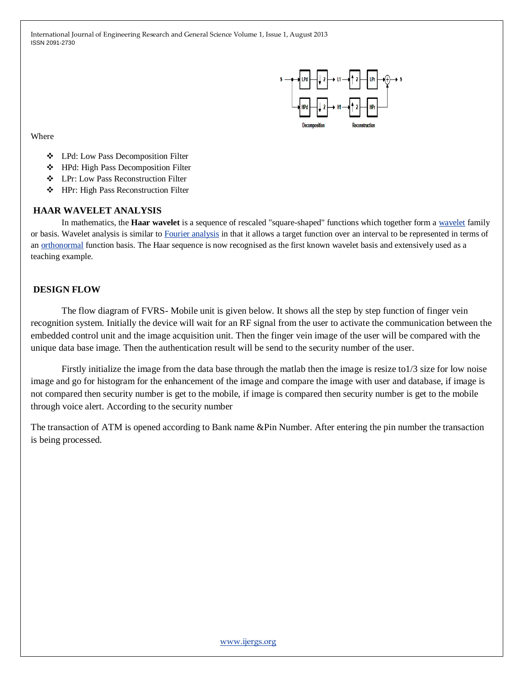

Where

- LPd: Low Pass Decomposition Filter
- ❖ HPd: High Pass Decomposition Filter
- LPr: Low Pass Reconstruction Filter
- HPr: High Pass Reconstruction Filter

#### **HAAR WAVELET ANALYSIS**

In mathematics, the **Haar wavelet** is a sequence of rescaled "square-shaped" functions which together form a [wavelet](http://en.wikipedia.org/wiki/Wavelet) family or basis. Wavelet analysis is similar to [Fourier analysis](http://en.wikipedia.org/wiki/Fourier_analysis) in that it allows a target function over an interval to be represented in terms of an [orthonormal](http://en.wikipedia.org/wiki/Orthonormal) function basis. The Haar sequence is now recognised as the first known wavelet basis and extensively used as a teaching example.

## **DESIGN FLOW**

The flow diagram of FVRS- Mobile unit is given below. It shows all the step by step function of finger vein recognition system. Initially the device will wait for an RF signal from the user to activate the communication between the embedded control unit and the image acquisition unit. Then the finger vein image of the user will be compared with the unique data base image. Then the authentication result will be send to the security number of the user.

Firstly initialize the image from the data base through the matlab then the image is resize to1/3 size for low noise image and go for histogram for the enhancement of the image and compare the image with user and database, if image is not compared then security number is get to the mobile, if image is compared then security number is get to the mobile through voice alert. According to the security number

The transaction of ATM is opened according to Bank name &Pin Number. After entering the pin number the transaction is being processed.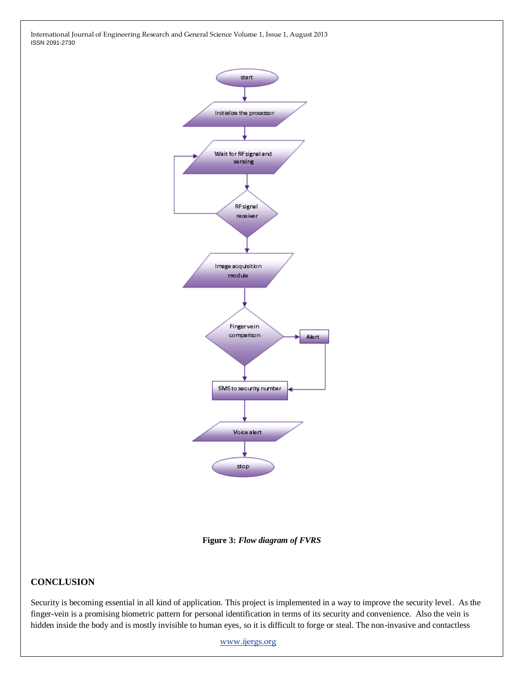

**Figure 3:** *Flow diagram of FVRS*

## **CONCLUSION**

Security is becoming essential in all kind of application. This project is implemented in a way to improve the security level. As the finger-vein is a promising biometric pattern for personal identification in terms of its security and convenience. Also the vein is hidden inside the body and is mostly invisible to human eyes, so it is difficult to forge or steal. The non-invasive and contactless